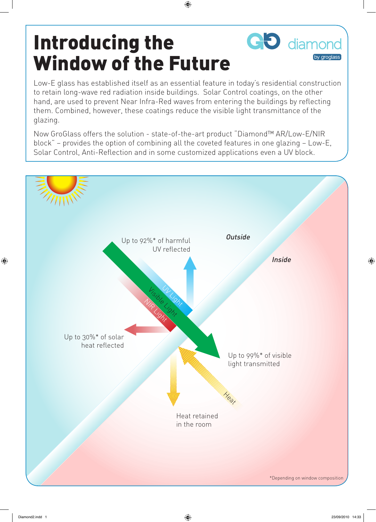# Introducing the Window of the Future



 $\bigcirc$  diamon

by groglass

Now GroGlass offers the solution - state-of-the-art product "Diamond™ AR/Low-E/NIR block" – provides the option of combining all the coveted features in one glazing – Low-E, Solar Control, Anti-Reflection and in some customized applications even a UV block.